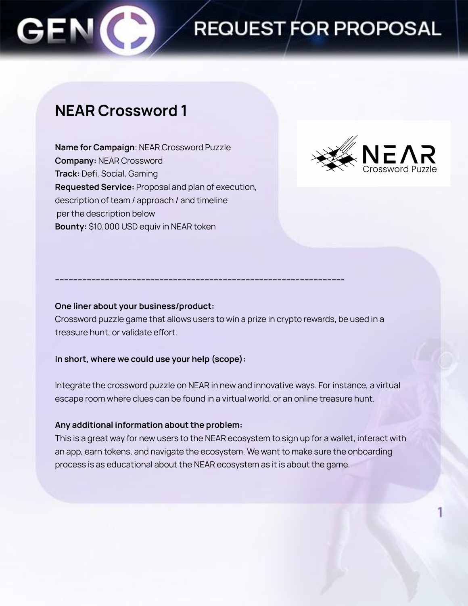## **REQUEST FOR PROPOSAL**

### **NEAR Crossword 1**

**Name for Campaign**: NEAR Crossword Puzzle **Company:** NEAR Crossword **Track:** Defi, Social, Gaming **Requested Service:** Proposal and plan of execution, description of team / approach / and timeline per the description below **Bounty:** \$10,000 USD equiv in NEAR token



### **One liner about your business/product:**

Crossword puzzle game that allows users to win a prize in crypto rewards, be used in a treasure hunt, or validate effort.

**------------------------------------------------------------------------------------------------------------------------------**

### **In short, where we could use your help (scope):**

Integrate the crossword puzzle on NEAR in new and innovative ways. For instance, a virtual escape room where clues can be found in a virtual world, or an online treasure hunt.

### **Any additional information about the problem:**

This is a great way for new users to the NEAR ecosystem to sign up for a wallet, interact with an app, earn tokens, and navigate the ecosystem. We want to make sure the onboarding process is as educational about the NEAR ecosystem as it is about the game.